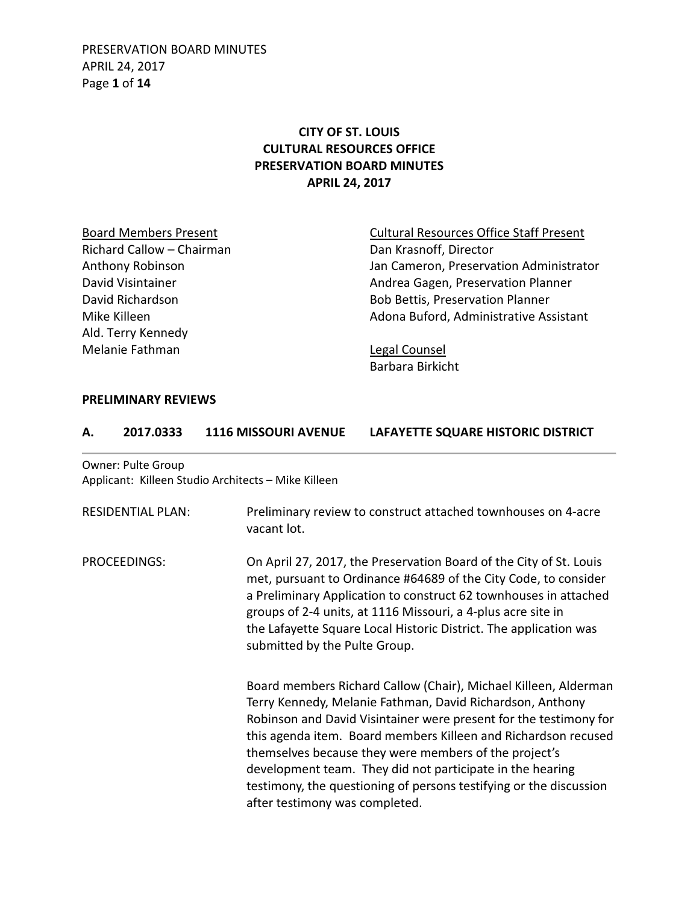PRESERVATION BOARD MINUTES APRIL 24, 2017 Page **1** of **14**

# **CITY OF ST. LOUIS CULTURAL RESOURCES OFFICE PRESERVATION BOARD MINUTES APRIL 24, 2017**

Richard Callow – Chairman Dan Krasnoff, Director Ald. Terry Kennedy Melanie Fathman Legal Counsel

Board Members Present **Cultural Resources Office Staff Present** Anthony Robinson **Anthony Robinson** Jan Cameron, Preservation Administrator David Visintainer **Andrea Gagen, Preservation Planner** Andrea Gagen, Preservation Planner David Richardson **Bob Bettis, Preservation Planner** Mike Killeen **Adona Buford, Administrative Assistant** 

Barbara Birkicht

#### **PRELIMINARY REVIEWS**

| 2017.0333 | <b>1116 MISSOURI AVENUE</b> | LAFAYETTE SQUARE HISTORIC DISTRICT |
|-----------|-----------------------------|------------------------------------|
|           |                             |                                    |

Owner: Pulte Group Applicant: Killeen Studio Architects – Mike Killeen

| <b>RESIDENTIAL PLAN:</b> | Preliminary review to construct attached townhouses on 4-acre<br>vacant lot.                                                                                                                                                                                                                                                                                                                                                                                                                      |
|--------------------------|---------------------------------------------------------------------------------------------------------------------------------------------------------------------------------------------------------------------------------------------------------------------------------------------------------------------------------------------------------------------------------------------------------------------------------------------------------------------------------------------------|
| PROCEEDINGS:             | On April 27, 2017, the Preservation Board of the City of St. Louis<br>met, pursuant to Ordinance #64689 of the City Code, to consider<br>a Preliminary Application to construct 62 townhouses in attached<br>groups of 2-4 units, at 1116 Missouri, a 4-plus acre site in<br>the Lafayette Square Local Historic District. The application was<br>submitted by the Pulte Group.                                                                                                                   |
|                          | Board members Richard Callow (Chair), Michael Killeen, Alderman<br>Terry Kennedy, Melanie Fathman, David Richardson, Anthony<br>Robinson and David Visintainer were present for the testimony for<br>this agenda item. Board members Killeen and Richardson recused<br>themselves because they were members of the project's<br>development team. They did not participate in the hearing<br>testimony, the questioning of persons testifying or the discussion<br>after testimony was completed. |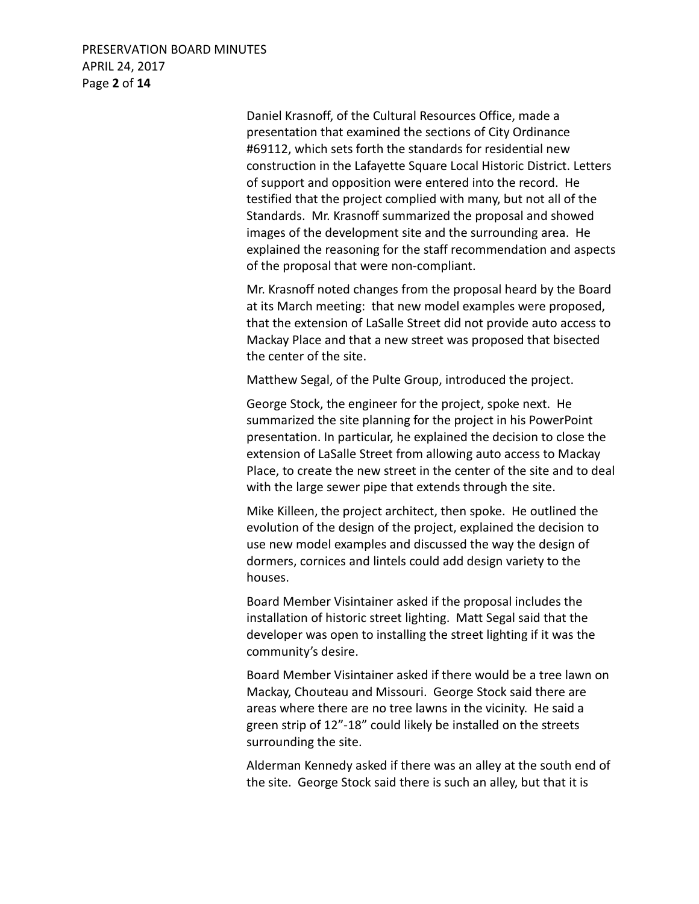PRESERVATION BOARD MINUTES APRIL 24, 2017 Page **2** of **14**

> Daniel Krasnoff, of the Cultural Resources Office, made a presentation that examined the sections of City Ordinance #69112, which sets forth the standards for residential new construction in the Lafayette Square Local Historic District. Letters of support and opposition were entered into the record. He testified that the project complied with many, but not all of the Standards. Mr. Krasnoff summarized the proposal and showed images of the development site and the surrounding area. He explained the reasoning for the staff recommendation and aspects of the proposal that were non-compliant.

Mr. Krasnoff noted changes from the proposal heard by the Board at its March meeting: that new model examples were proposed, that the extension of LaSalle Street did not provide auto access to Mackay Place and that a new street was proposed that bisected the center of the site.

Matthew Segal, of the Pulte Group, introduced the project.

George Stock, the engineer for the project, spoke next. He summarized the site planning for the project in his PowerPoint presentation. In particular, he explained the decision to close the extension of LaSalle Street from allowing auto access to Mackay Place, to create the new street in the center of the site and to deal with the large sewer pipe that extends through the site.

Mike Killeen, the project architect, then spoke. He outlined the evolution of the design of the project, explained the decision to use new model examples and discussed the way the design of dormers, cornices and lintels could add design variety to the houses.

Board Member Visintainer asked if the proposal includes the installation of historic street lighting. Matt Segal said that the developer was open to installing the street lighting if it was the community's desire.

Board Member Visintainer asked if there would be a tree lawn on Mackay, Chouteau and Missouri. George Stock said there are areas where there are no tree lawns in the vicinity. He said a green strip of 12"-18" could likely be installed on the streets surrounding the site.

Alderman Kennedy asked if there was an alley at the south end of the site. George Stock said there is such an alley, but that it is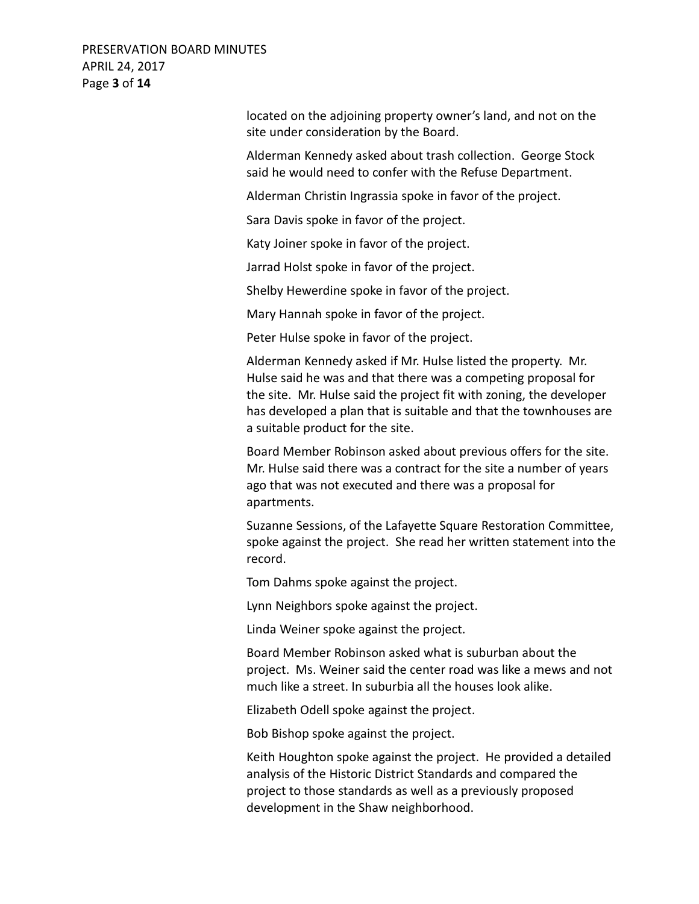#### PRESERVATION BOARD MINUTES APRIL 24, 2017 Page **3** of **14**

located on the adjoining property owner's land, and not on the site under consideration by the Board.

Alderman Kennedy asked about trash collection. George Stock said he would need to confer with the Refuse Department.

Alderman Christin Ingrassia spoke in favor of the project.

Sara Davis spoke in favor of the project.

Katy Joiner spoke in favor of the project.

Jarrad Holst spoke in favor of the project.

Shelby Hewerdine spoke in favor of the project.

Mary Hannah spoke in favor of the project.

Peter Hulse spoke in favor of the project.

Alderman Kennedy asked if Mr. Hulse listed the property. Mr. Hulse said he was and that there was a competing proposal for the site. Mr. Hulse said the project fit with zoning, the developer has developed a plan that is suitable and that the townhouses are a suitable product for the site.

Board Member Robinson asked about previous offers for the site. Mr. Hulse said there was a contract for the site a number of years ago that was not executed and there was a proposal for apartments.

Suzanne Sessions, of the Lafayette Square Restoration Committee, spoke against the project. She read her written statement into the record.

Tom Dahms spoke against the project.

Lynn Neighbors spoke against the project.

Linda Weiner spoke against the project.

 Board Member Robinson asked what is suburban about the project. Ms. Weiner said the center road was like a mews and not much like a street. In suburbia all the houses look alike.

Elizabeth Odell spoke against the project.

Bob Bishop spoke against the project.

Keith Houghton spoke against the project. He provided a detailed analysis of the Historic District Standards and compared the project to those standards as well as a previously proposed development in the Shaw neighborhood.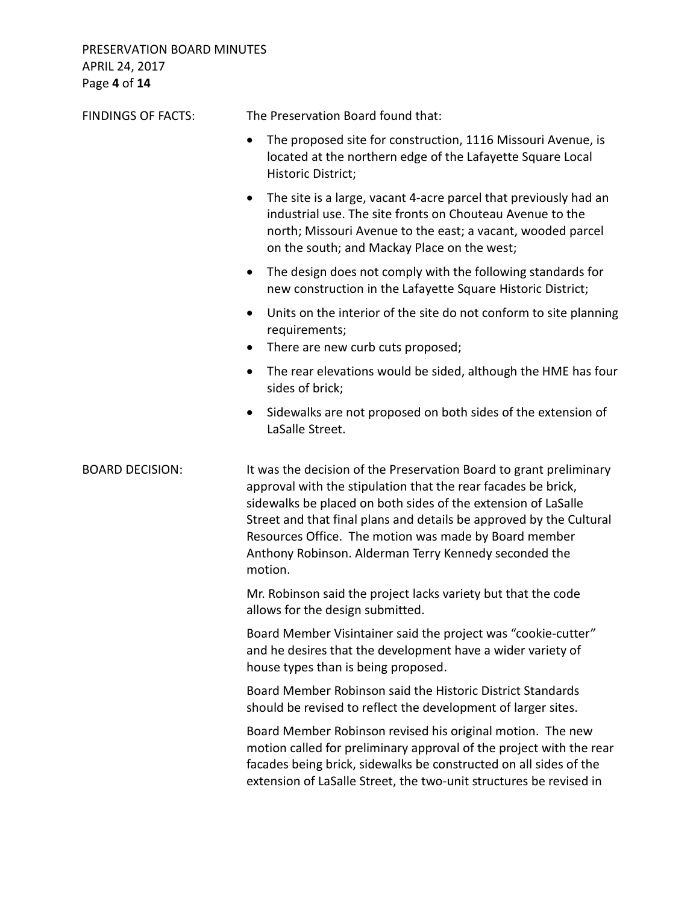PRESERVATION BOARD MINUTES APRIL 24, 2017 Page **4** of **14**

| <b>FINDINGS OF FACTS:</b> | The Preservation Board found that:                                                                                                                                                                                                                                                                                                                                                                       |
|---------------------------|----------------------------------------------------------------------------------------------------------------------------------------------------------------------------------------------------------------------------------------------------------------------------------------------------------------------------------------------------------------------------------------------------------|
|                           | The proposed site for construction, 1116 Missouri Avenue, is<br>$\bullet$<br>located at the northern edge of the Lafayette Square Local<br>Historic District;                                                                                                                                                                                                                                            |
|                           | The site is a large, vacant 4-acre parcel that previously had an<br>$\bullet$<br>industrial use. The site fronts on Chouteau Avenue to the<br>north; Missouri Avenue to the east; a vacant, wooded parcel<br>on the south; and Mackay Place on the west;                                                                                                                                                 |
|                           | The design does not comply with the following standards for<br>$\bullet$<br>new construction in the Lafayette Square Historic District;                                                                                                                                                                                                                                                                  |
|                           | Units on the interior of the site do not conform to site planning<br>$\bullet$<br>requirements;<br>There are new curb cuts proposed;<br>$\bullet$                                                                                                                                                                                                                                                        |
|                           | The rear elevations would be sided, although the HME has four<br>$\bullet$<br>sides of brick;                                                                                                                                                                                                                                                                                                            |
|                           | Sidewalks are not proposed on both sides of the extension of<br>LaSalle Street.                                                                                                                                                                                                                                                                                                                          |
| <b>BOARD DECISION:</b>    | It was the decision of the Preservation Board to grant preliminary<br>approval with the stipulation that the rear facades be brick,<br>sidewalks be placed on both sides of the extension of LaSalle<br>Street and that final plans and details be approved by the Cultural<br>Resources Office. The motion was made by Board member<br>Anthony Robinson. Alderman Terry Kennedy seconded the<br>motion. |
|                           | Mr. Robinson said the project lacks variety but that the code<br>allows for the design submitted.                                                                                                                                                                                                                                                                                                        |
|                           | Board Member Visintainer said the project was "cookie-cutter"<br>and he desires that the development have a wider variety of<br>house types than is being proposed.                                                                                                                                                                                                                                      |
|                           | Board Member Robinson said the Historic District Standards<br>should be revised to reflect the development of larger sites.                                                                                                                                                                                                                                                                              |
|                           | Board Member Robinson revised his original motion. The new<br>motion called for preliminary approval of the project with the rear<br>facades being brick, sidewalks be constructed on all sides of the<br>extension of LaSalle Street, the two-unit structures be revised in                                                                                                                             |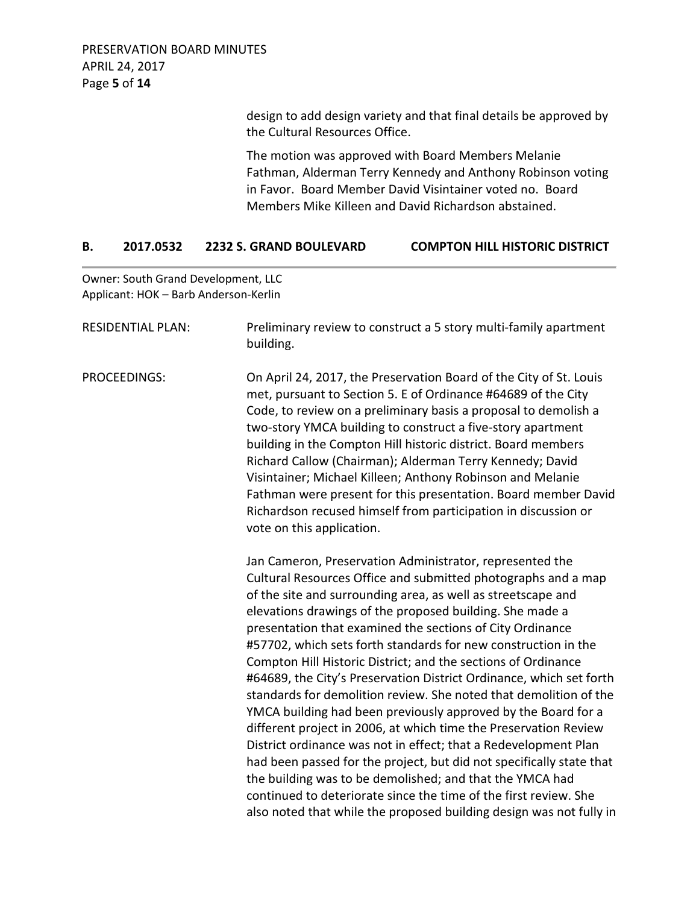PRESERVATION BOARD MINUTES APRIL 24, 2017 Page **5** of **14**

> design to add design variety and that final details be approved by the Cultural Resources Office.

> The motion was approved with Board Members Melanie Fathman, Alderman Terry Kennedy and Anthony Robinson voting in Favor. Board Member David Visintainer voted no. Board Members Mike Killeen and David Richardson abstained.

#### **B. 2017.0532 2232 S. GRAND BOULEVARD COMPTON HILL HISTORIC DISTRICT**

Owner: South Grand Development, LLC Applicant: HOK – Barb Anderson-Kerlin

| <b>RESIDENTIAL PLAN:</b> | Preliminary review to construct a 5 story multi-family apartment<br>building.                                                                                                                                                                                                                                                                                                                                                                                                                                                                                                                                                                                                                                                                                                                                                                                                                                                                                                                                                                                                            |
|--------------------------|------------------------------------------------------------------------------------------------------------------------------------------------------------------------------------------------------------------------------------------------------------------------------------------------------------------------------------------------------------------------------------------------------------------------------------------------------------------------------------------------------------------------------------------------------------------------------------------------------------------------------------------------------------------------------------------------------------------------------------------------------------------------------------------------------------------------------------------------------------------------------------------------------------------------------------------------------------------------------------------------------------------------------------------------------------------------------------------|
| PROCEEDINGS:             | On April 24, 2017, the Preservation Board of the City of St. Louis<br>met, pursuant to Section 5. E of Ordinance #64689 of the City<br>Code, to review on a preliminary basis a proposal to demolish a<br>two-story YMCA building to construct a five-story apartment<br>building in the Compton Hill historic district. Board members<br>Richard Callow (Chairman); Alderman Terry Kennedy; David<br>Visintainer; Michael Killeen; Anthony Robinson and Melanie<br>Fathman were present for this presentation. Board member David<br>Richardson recused himself from participation in discussion or<br>vote on this application.                                                                                                                                                                                                                                                                                                                                                                                                                                                        |
|                          | Jan Cameron, Preservation Administrator, represented the<br>Cultural Resources Office and submitted photographs and a map<br>of the site and surrounding area, as well as streetscape and<br>elevations drawings of the proposed building. She made a<br>presentation that examined the sections of City Ordinance<br>#57702, which sets forth standards for new construction in the<br>Compton Hill Historic District; and the sections of Ordinance<br>#64689, the City's Preservation District Ordinance, which set forth<br>standards for demolition review. She noted that demolition of the<br>YMCA building had been previously approved by the Board for a<br>different project in 2006, at which time the Preservation Review<br>District ordinance was not in effect; that a Redevelopment Plan<br>had been passed for the project, but did not specifically state that<br>the building was to be demolished; and that the YMCA had<br>continued to deteriorate since the time of the first review. She<br>also noted that while the proposed building design was not fully in |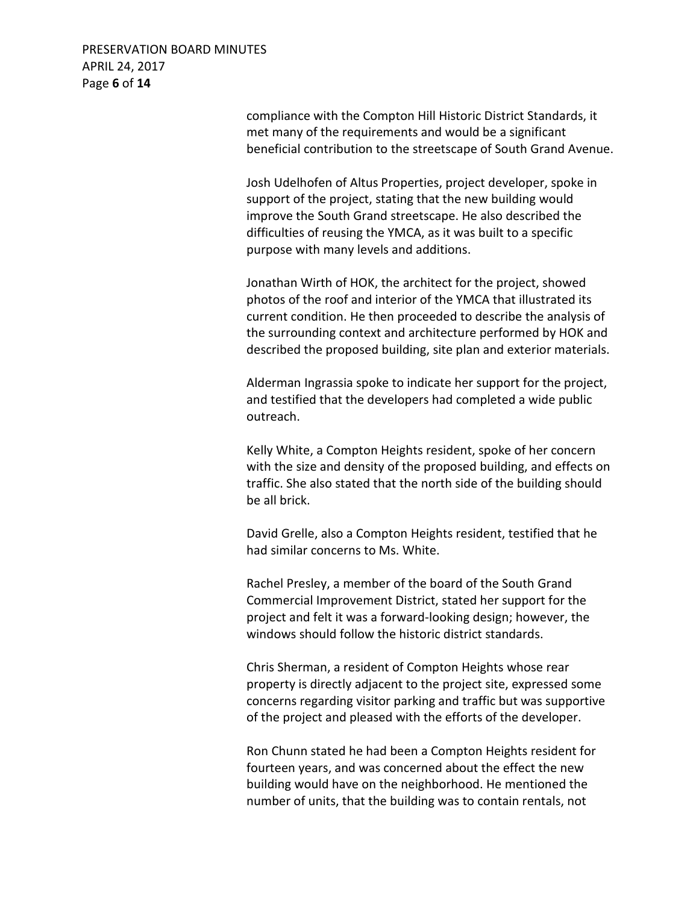## PRESERVATION BOARD MINUTES APRIL 24, 2017 Page **6** of **14**

compliance with the Compton Hill Historic District Standards, it met many of the requirements and would be a significant beneficial contribution to the streetscape of South Grand Avenue.

Josh Udelhofen of Altus Properties, project developer, spoke in support of the project, stating that the new building would improve the South Grand streetscape. He also described the difficulties of reusing the YMCA, as it was built to a specific purpose with many levels and additions.

Jonathan Wirth of HOK, the architect for the project, showed photos of the roof and interior of the YMCA that illustrated its current condition. He then proceeded to describe the analysis of the surrounding context and architecture performed by HOK and described the proposed building, site plan and exterior materials.

Alderman Ingrassia spoke to indicate her support for the project, and testified that the developers had completed a wide public outreach.

Kelly White, a Compton Heights resident, spoke of her concern with the size and density of the proposed building, and effects on traffic. She also stated that the north side of the building should be all brick.

David Grelle, also a Compton Heights resident, testified that he had similar concerns to Ms. White.

Rachel Presley, a member of the board of the South Grand Commercial Improvement District, stated her support for the project and felt it was a forward-looking design; however, the windows should follow the historic district standards.

Chris Sherman, a resident of Compton Heights whose rear property is directly adjacent to the project site, expressed some concerns regarding visitor parking and traffic but was supportive of the project and pleased with the efforts of the developer.

Ron Chunn stated he had been a Compton Heights resident for fourteen years, and was concerned about the effect the new building would have on the neighborhood. He mentioned the number of units, that the building was to contain rentals, not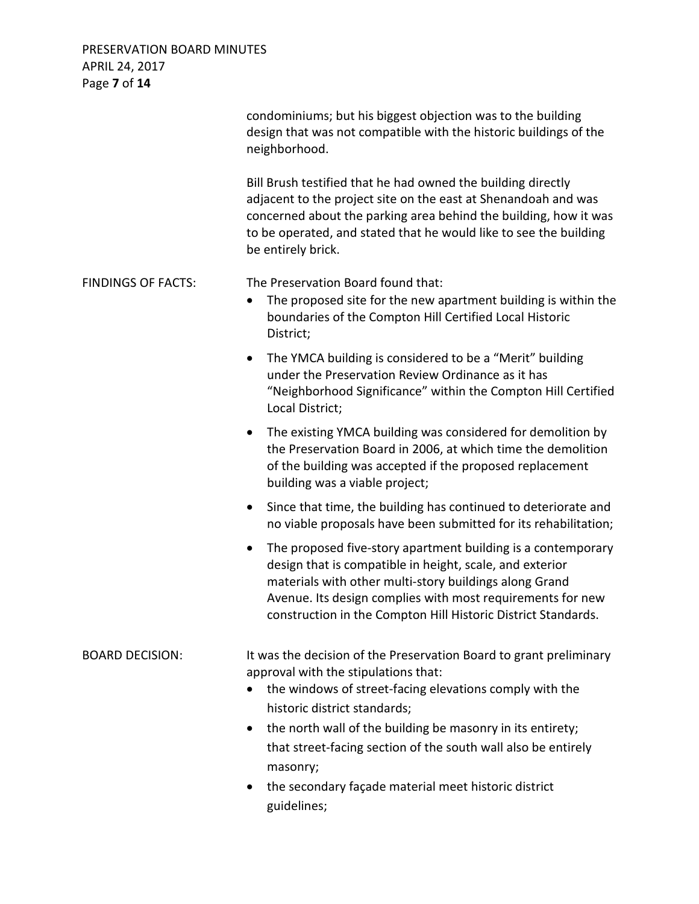PRESERVATION BOARD MINUTES APRIL 24, 2017 Page **7** of **14**

|                           | condominiums; but his biggest objection was to the building<br>design that was not compatible with the historic buildings of the<br>neighborhood.                                                                                                                                                                                                                                                                                                      |
|---------------------------|--------------------------------------------------------------------------------------------------------------------------------------------------------------------------------------------------------------------------------------------------------------------------------------------------------------------------------------------------------------------------------------------------------------------------------------------------------|
|                           | Bill Brush testified that he had owned the building directly<br>adjacent to the project site on the east at Shenandoah and was<br>concerned about the parking area behind the building, how it was<br>to be operated, and stated that he would like to see the building<br>be entirely brick.                                                                                                                                                          |
| <b>FINDINGS OF FACTS:</b> | The Preservation Board found that:<br>The proposed site for the new apartment building is within the<br>boundaries of the Compton Hill Certified Local Historic<br>District;                                                                                                                                                                                                                                                                           |
|                           | The YMCA building is considered to be a "Merit" building<br>$\bullet$<br>under the Preservation Review Ordinance as it has<br>"Neighborhood Significance" within the Compton Hill Certified<br>Local District;                                                                                                                                                                                                                                         |
|                           | The existing YMCA building was considered for demolition by<br>$\bullet$<br>the Preservation Board in 2006, at which time the demolition<br>of the building was accepted if the proposed replacement<br>building was a viable project;                                                                                                                                                                                                                 |
|                           | Since that time, the building has continued to deteriorate and<br>$\bullet$<br>no viable proposals have been submitted for its rehabilitation;                                                                                                                                                                                                                                                                                                         |
|                           | The proposed five-story apartment building is a contemporary<br>$\bullet$<br>design that is compatible in height, scale, and exterior<br>materials with other multi-story buildings along Grand<br>Avenue. Its design complies with most requirements for new<br>construction in the Compton Hill Historic District Standards.                                                                                                                         |
| <b>BOARD DECISION:</b>    | It was the decision of the Preservation Board to grant preliminary<br>approval with the stipulations that:<br>the windows of street-facing elevations comply with the<br>$\bullet$<br>historic district standards;<br>the north wall of the building be masonry in its entirety;<br>$\bullet$<br>that street-facing section of the south wall also be entirely<br>masonry;<br>the secondary façade material meet historic district<br>٠<br>guidelines; |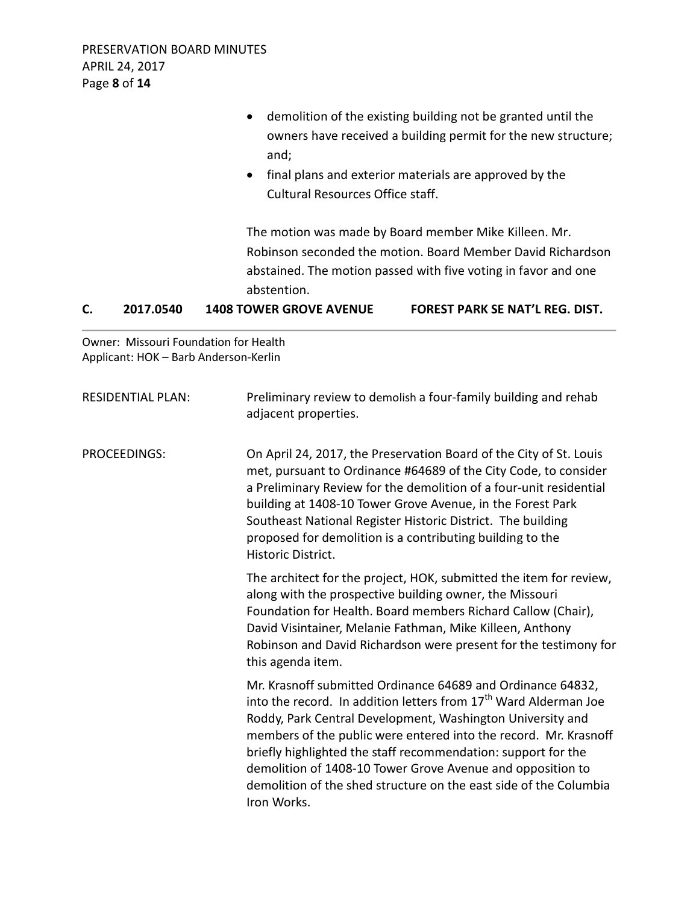|    | $\cdot$ $-$ |                                  |                                                                |
|----|-------------|----------------------------------|----------------------------------------------------------------|
| C. | 2017.0540   | <b>1408 TOWER GROVE AVENUE</b>   | FOREST PARK SE NAT'L REG. DIST.                                |
|    |             | abstention.                      |                                                                |
|    |             |                                  | abstained. The motion passed with five voting in favor and one |
|    |             |                                  | Robinson seconded the motion. Board Member David Richardson    |
|    |             |                                  | The motion was made by Board member Mike Killeen. Mr.          |
|    |             | Cultural Resources Office staff. |                                                                |
|    |             | $\bullet$                        | final plans and exterior materials are approved by the         |
|    |             | and;                             |                                                                |
|    |             |                                  | owners have received a building permit for the new structure;  |
|    |             | $\bullet$                        | demolition of the existing building not be granted until the   |

Owner: Missouri Foundation for Health Applicant: HOK – Barb Anderson-Kerlin

| <b>RESIDENTIAL PLAN:</b> | Preliminary review to demolish a four-family building and rehab<br>adjacent properties.                                                                                                                                                                                                                                                                                                                                                                                                          |
|--------------------------|--------------------------------------------------------------------------------------------------------------------------------------------------------------------------------------------------------------------------------------------------------------------------------------------------------------------------------------------------------------------------------------------------------------------------------------------------------------------------------------------------|
| <b>PROCEEDINGS:</b>      | On April 24, 2017, the Preservation Board of the City of St. Louis<br>met, pursuant to Ordinance #64689 of the City Code, to consider<br>a Preliminary Review for the demolition of a four-unit residential<br>building at 1408-10 Tower Grove Avenue, in the Forest Park<br>Southeast National Register Historic District. The building<br>proposed for demolition is a contributing building to the<br>Historic District.                                                                      |
|                          | The architect for the project, HOK, submitted the item for review,<br>along with the prospective building owner, the Missouri<br>Foundation for Health. Board members Richard Callow (Chair),<br>David Visintainer, Melanie Fathman, Mike Killeen, Anthony<br>Robinson and David Richardson were present for the testimony for<br>this agenda item.                                                                                                                                              |
|                          | Mr. Krasnoff submitted Ordinance 64689 and Ordinance 64832,<br>into the record. In addition letters from 17 <sup>th</sup> Ward Alderman Joe<br>Roddy, Park Central Development, Washington University and<br>members of the public were entered into the record. Mr. Krasnoff<br>briefly highlighted the staff recommendation: support for the<br>demolition of 1408-10 Tower Grove Avenue and opposition to<br>demolition of the shed structure on the east side of the Columbia<br>Iron Works. |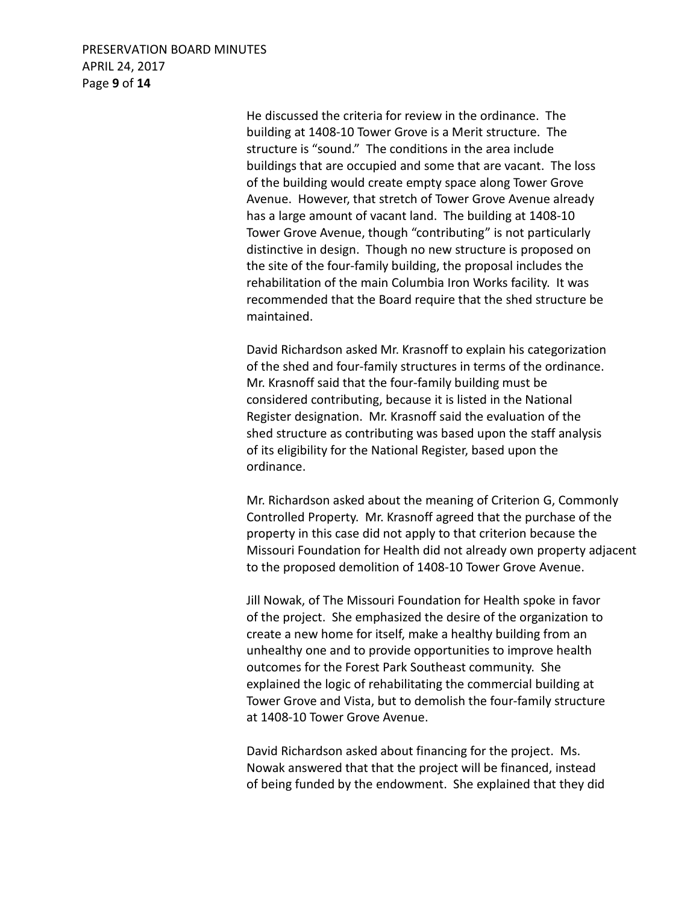## PRESERVATION BOARD MINUTES APRIL 24, 2017 Page **9** of **14**

He discussed the criteria for review in the ordinance. The building at 1408-10 Tower Grove is a Merit structure. The structure is "sound." The conditions in the area include buildings that are occupied and some that are vacant. The loss of the building would create empty space along Tower Grove Avenue. However, that stretch of Tower Grove Avenue already has a large amount of vacant land. The building at 1408-10 Tower Grove Avenue, though "contributing" is not particularly distinctive in design. Though no new structure is proposed on the site of the four-family building, the proposal includes the rehabilitation of the main Columbia Iron Works facility. It was recommended that the Board require that the shed structure be maintained.

David Richardson asked Mr. Krasnoff to explain his categorization of the shed and four-family structures in terms of the ordinance. Mr. Krasnoff said that the four-family building must be considered contributing, because it is listed in the National Register designation. Mr. Krasnoff said the evaluation of the shed structure as contributing was based upon the staff analysis of its eligibility for the National Register, based upon the ordinance.

Mr. Richardson asked about the meaning of Criterion G, Commonly Controlled Property. Mr. Krasnoff agreed that the purchase of the property in this case did not apply to that criterion because the Missouri Foundation for Health did not already own property adjacent to the proposed demolition of 1408-10 Tower Grove Avenue.

Jill Nowak, of The Missouri Foundation for Health spoke in favor of the project. She emphasized the desire of the organization to create a new home for itself, make a healthy building from an unhealthy one and to provide opportunities to improve health outcomes for the Forest Park Southeast community. She explained the logic of rehabilitating the commercial building at Tower Grove and Vista, but to demolish the four-family structure at 1408-10 Tower Grove Avenue.

David Richardson asked about financing for the project. Ms. Nowak answered that that the project will be financed, instead of being funded by the endowment. She explained that they did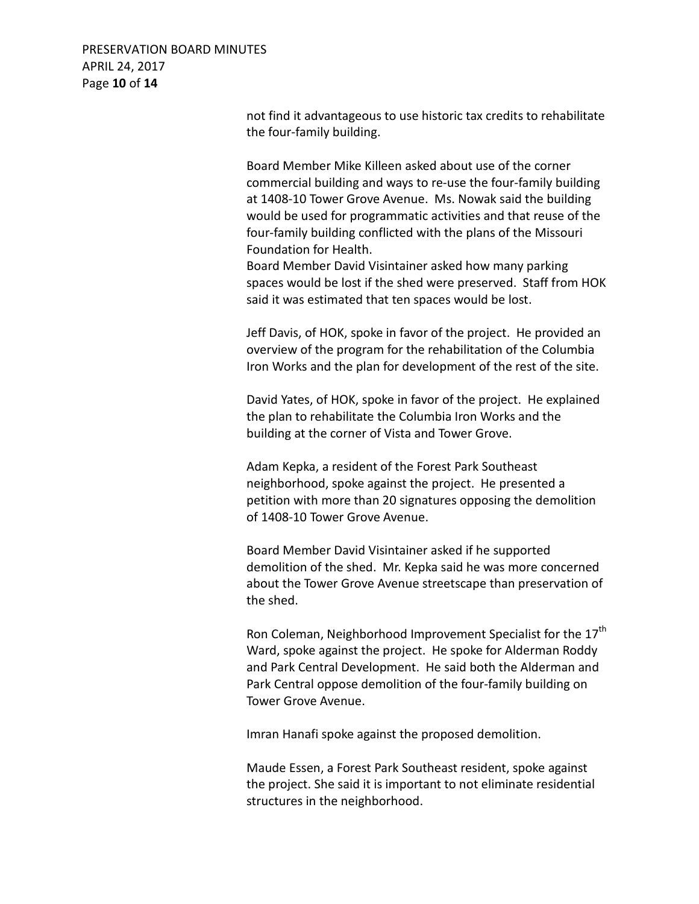### PRESERVATION BOARD MINUTES APRIL 24, 2017 Page **10** of **14**

not find it advantageous to use historic tax credits to rehabilitate the four-family building.

Board Member Mike Killeen asked about use of the corner commercial building and ways to re-use the four-family building at 1408-10 Tower Grove Avenue. Ms. Nowak said the building would be used for programmatic activities and that reuse of the four-family building conflicted with the plans of the Missouri Foundation for Health.

Board Member David Visintainer asked how many parking spaces would be lost if the shed were preserved. Staff from HOK said it was estimated that ten spaces would be lost.

Jeff Davis, of HOK, spoke in favor of the project. He provided an overview of the program for the rehabilitation of the Columbia Iron Works and the plan for development of the rest of the site.

David Yates, of HOK, spoke in favor of the project. He explained the plan to rehabilitate the Columbia Iron Works and the building at the corner of Vista and Tower Grove.

Adam Kepka, a resident of the Forest Park Southeast neighborhood, spoke against the project. He presented a petition with more than 20 signatures opposing the demolition of 1408-10 Tower Grove Avenue.

Board Member David Visintainer asked if he supported demolition of the shed. Mr. Kepka said he was more concerned about the Tower Grove Avenue streetscape than preservation of the shed.

Ron Coleman, Neighborhood Improvement Specialist for the 17<sup>th</sup> Ward, spoke against the project. He spoke for Alderman Roddy and Park Central Development. He said both the Alderman and Park Central oppose demolition of the four-family building on Tower Grove Avenue.

Imran Hanafi spoke against the proposed demolition.

Maude Essen, a Forest Park Southeast resident, spoke against the project. She said it is important to not eliminate residential structures in the neighborhood.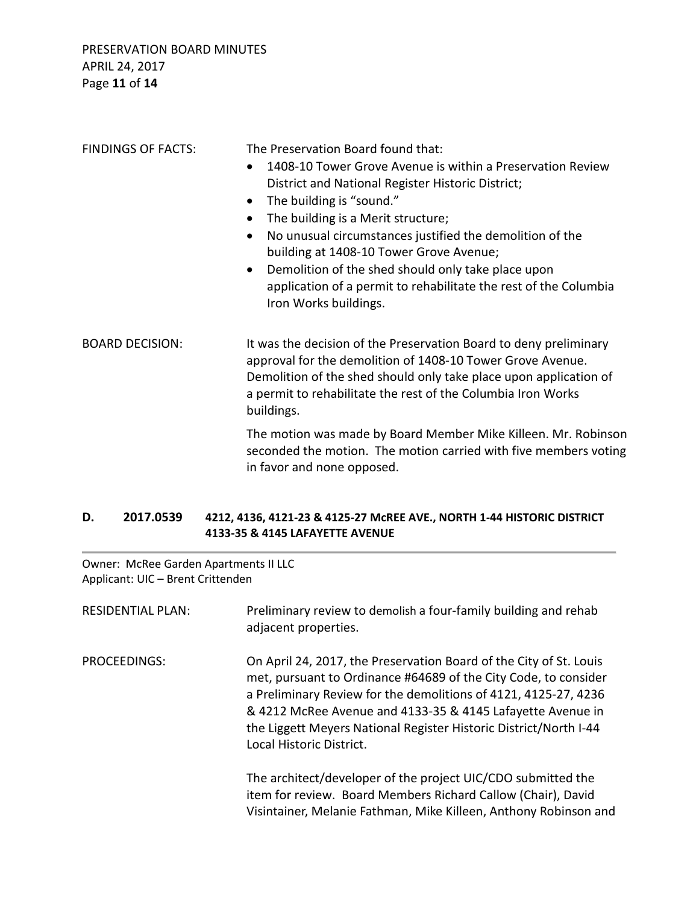| <b>FINDINGS OF FACTS:</b> | The Preservation Board found that:<br>1408-10 Tower Grove Avenue is within a Preservation Review<br>District and National Register Historic District;<br>The building is "sound."<br>$\bullet$<br>The building is a Merit structure;<br>$\bullet$<br>No unusual circumstances justified the demolition of the<br>building at 1408-10 Tower Grove Avenue;<br>Demolition of the shed should only take place upon<br>application of a permit to rehabilitate the rest of the Columbia<br>Iron Works buildings. |  |
|---------------------------|-------------------------------------------------------------------------------------------------------------------------------------------------------------------------------------------------------------------------------------------------------------------------------------------------------------------------------------------------------------------------------------------------------------------------------------------------------------------------------------------------------------|--|
| <b>BOARD DECISION:</b>    | It was the decision of the Preservation Board to deny preliminary<br>approval for the demolition of 1408-10 Tower Grove Avenue.<br>Demolition of the shed should only take place upon application of<br>a permit to rehabilitate the rest of the Columbia Iron Works<br>buildings.                                                                                                                                                                                                                          |  |
|                           | The motion was made by Board Member Mike Killeen. Mr. Robinson<br>seconded the motion. The motion carried with five members voting<br>in favor and none opposed.                                                                                                                                                                                                                                                                                                                                            |  |

### **D. 2017.0539 4212, 4136, 4121-23 & 4125-27 McREE AVE., NORTH 1-44 HISTORIC DISTRICT 4133-35 & 4145 LAFAYETTE AVENUE**

Owner: McRee Garden Apartments II LLC Applicant: UIC – Brent Crittenden

| <b>RESIDENTIAL PLAN:</b> | Preliminary review to demolish a four-family building and rehab<br>adjacent properties.                                                                                                                                                                                                                                                                                 |
|--------------------------|-------------------------------------------------------------------------------------------------------------------------------------------------------------------------------------------------------------------------------------------------------------------------------------------------------------------------------------------------------------------------|
| PROCEEDINGS:             | On April 24, 2017, the Preservation Board of the City of St. Louis<br>met, pursuant to Ordinance #64689 of the City Code, to consider<br>a Preliminary Review for the demolitions of 4121, 4125-27, 4236<br>& 4212 McRee Avenue and 4133-35 & 4145 Lafayette Avenue in<br>the Liggett Meyers National Register Historic District/North I-44<br>Local Historic District. |
|                          | The architect/developer of the project UIC/CDO submitted the<br>item for review. Board Members Richard Callow (Chair), David<br>Visintainer, Melanie Fathman, Mike Killeen, Anthony Robinson and                                                                                                                                                                        |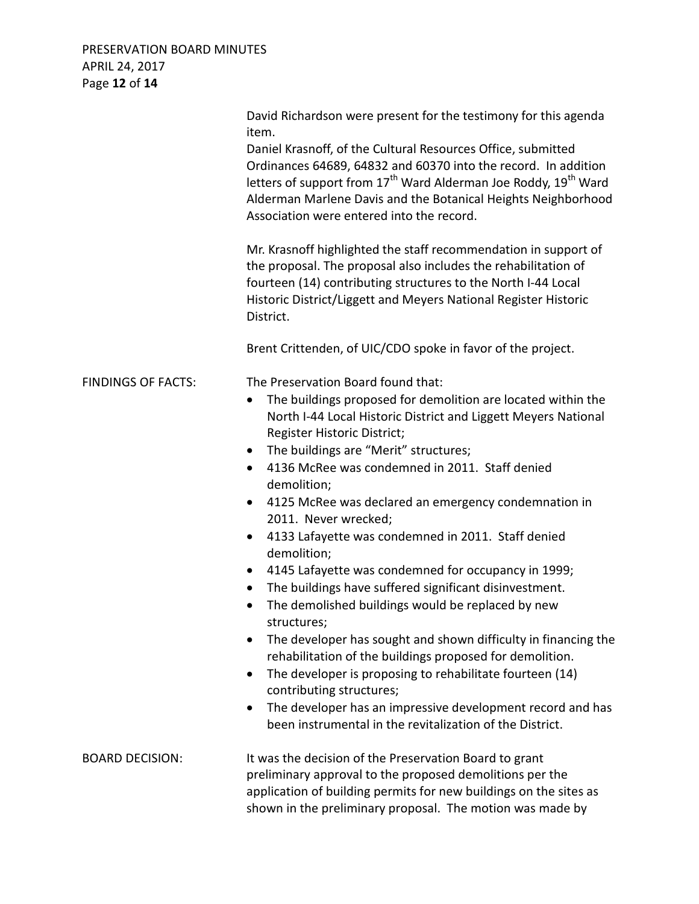# PRESERVATION BOARD MINUTES APRIL 24, 2017 Page **12** of **14**

|                           | David Richardson were present for the testimony for this agenda<br>item.<br>Daniel Krasnoff, of the Cultural Resources Office, submitted<br>Ordinances 64689, 64832 and 60370 into the record. In addition<br>letters of support from 17 <sup>th</sup> Ward Alderman Joe Roddy, 19 <sup>th</sup> Ward<br>Alderman Marlene Davis and the Botanical Heights Neighborhood<br>Association were entered into the record.<br>Mr. Krasnoff highlighted the staff recommendation in support of<br>the proposal. The proposal also includes the rehabilitation of<br>fourteen (14) contributing structures to the North I-44 Local<br>Historic District/Liggett and Meyers National Register Historic<br>District.<br>Brent Crittenden, of UIC/CDO spoke in favor of the project.                                                                                                                                                                                                                                                                                                                        |
|---------------------------|-------------------------------------------------------------------------------------------------------------------------------------------------------------------------------------------------------------------------------------------------------------------------------------------------------------------------------------------------------------------------------------------------------------------------------------------------------------------------------------------------------------------------------------------------------------------------------------------------------------------------------------------------------------------------------------------------------------------------------------------------------------------------------------------------------------------------------------------------------------------------------------------------------------------------------------------------------------------------------------------------------------------------------------------------------------------------------------------------|
| <b>FINDINGS OF FACTS:</b> | The Preservation Board found that:<br>The buildings proposed for demolition are located within the<br>North I-44 Local Historic District and Liggett Meyers National<br>Register Historic District;<br>The buildings are "Merit" structures;<br>$\bullet$<br>4136 McRee was condemned in 2011. Staff denied<br>$\bullet$<br>demolition;<br>4125 McRee was declared an emergency condemnation in<br>$\bullet$<br>2011. Never wrecked;<br>4133 Lafayette was condemned in 2011. Staff denied<br>$\bullet$<br>demolition;<br>4145 Lafayette was condemned for occupancy in 1999;<br>$\bullet$<br>The buildings have suffered significant disinvestment.<br>$\bullet$<br>The demolished buildings would be replaced by new<br>structures;<br>The developer has sought and shown difficulty in financing the<br>rehabilitation of the buildings proposed for demolition.<br>The developer is proposing to rehabilitate fourteen (14)<br>٠<br>contributing structures;<br>The developer has an impressive development record and has<br>٠<br>been instrumental in the revitalization of the District. |
| <b>BOARD DECISION:</b>    | It was the decision of the Preservation Board to grant<br>preliminary approval to the proposed demolitions per the<br>application of building permits for new buildings on the sites as<br>shown in the preliminary proposal. The motion was made by                                                                                                                                                                                                                                                                                                                                                                                                                                                                                                                                                                                                                                                                                                                                                                                                                                            |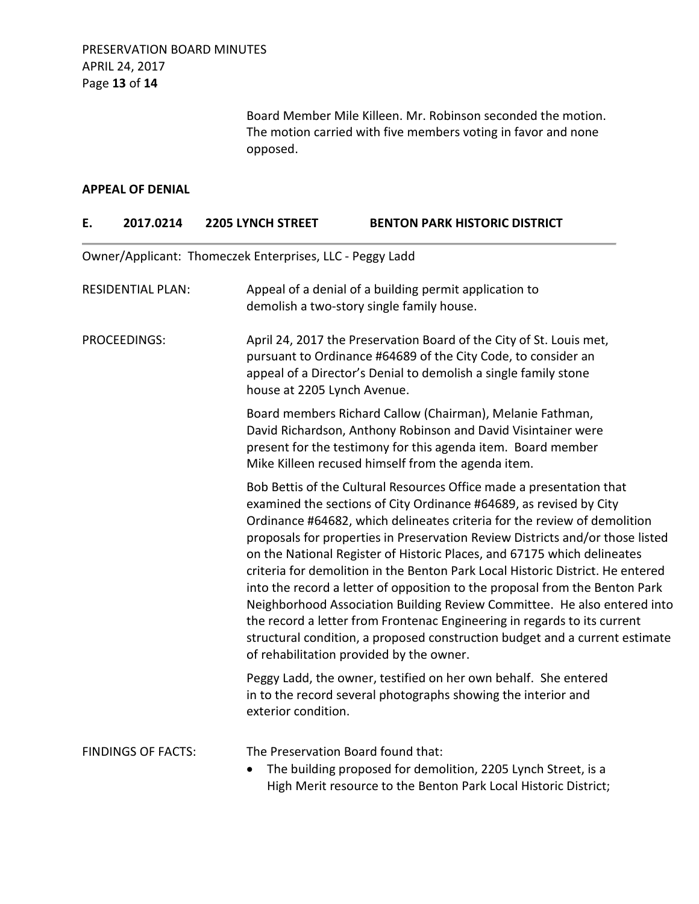Board Member Mile Killeen. Mr. Robinson seconded the motion. The motion carried with five members voting in favor and none opposed.

#### **APPEAL OF DENIAL**

| E.           | 2017.0214                 | <b>2205 LYNCH STREET</b>                                 | <b>BENTON PARK HISTORIC DISTRICT</b>                                                                                                                                                                                                                                                                                                                                                                                                                                                                                                                                                                                                                                                                                                                                                                                                   |
|--------------|---------------------------|----------------------------------------------------------|----------------------------------------------------------------------------------------------------------------------------------------------------------------------------------------------------------------------------------------------------------------------------------------------------------------------------------------------------------------------------------------------------------------------------------------------------------------------------------------------------------------------------------------------------------------------------------------------------------------------------------------------------------------------------------------------------------------------------------------------------------------------------------------------------------------------------------------|
|              |                           | Owner/Applicant: Thomeczek Enterprises, LLC - Peggy Ladd |                                                                                                                                                                                                                                                                                                                                                                                                                                                                                                                                                                                                                                                                                                                                                                                                                                        |
|              | <b>RESIDENTIAL PLAN:</b>  |                                                          | Appeal of a denial of a building permit application to<br>demolish a two-story single family house.                                                                                                                                                                                                                                                                                                                                                                                                                                                                                                                                                                                                                                                                                                                                    |
| PROCEEDINGS: |                           | house at 2205 Lynch Avenue.                              | April 24, 2017 the Preservation Board of the City of St. Louis met,<br>pursuant to Ordinance #64689 of the City Code, to consider an<br>appeal of a Director's Denial to demolish a single family stone                                                                                                                                                                                                                                                                                                                                                                                                                                                                                                                                                                                                                                |
|              |                           |                                                          | Board members Richard Callow (Chairman), Melanie Fathman,<br>David Richardson, Anthony Robinson and David Visintainer were<br>present for the testimony for this agenda item. Board member<br>Mike Killeen recused himself from the agenda item.                                                                                                                                                                                                                                                                                                                                                                                                                                                                                                                                                                                       |
|              |                           |                                                          | Bob Bettis of the Cultural Resources Office made a presentation that<br>examined the sections of City Ordinance #64689, as revised by City<br>Ordinance #64682, which delineates criteria for the review of demolition<br>proposals for properties in Preservation Review Districts and/or those listed<br>on the National Register of Historic Places, and 67175 which delineates<br>criteria for demolition in the Benton Park Local Historic District. He entered<br>into the record a letter of opposition to the proposal from the Benton Park<br>Neighborhood Association Building Review Committee. He also entered into<br>the record a letter from Frontenac Engineering in regards to its current<br>structural condition, a proposed construction budget and a current estimate<br>of rehabilitation provided by the owner. |
|              |                           | exterior condition.                                      | Peggy Ladd, the owner, testified on her own behalf. She entered<br>in to the record several photographs showing the interior and                                                                                                                                                                                                                                                                                                                                                                                                                                                                                                                                                                                                                                                                                                       |
|              | <b>FINDINGS OF FACTS:</b> | The Preservation Board found that:                       | The building proposed for demolition, 2205 Lynch Street, is a<br>High Merit resource to the Benton Park Local Historic District;                                                                                                                                                                                                                                                                                                                                                                                                                                                                                                                                                                                                                                                                                                       |